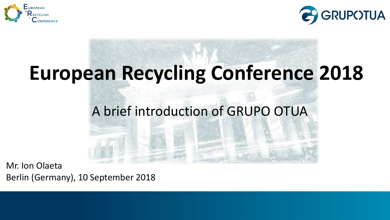



## **European Recycling Conference 2018**

#### A brief introduction of GRUPO OTUA

Mr. Ion Olaeta Berlin (Germany), 10 September 2018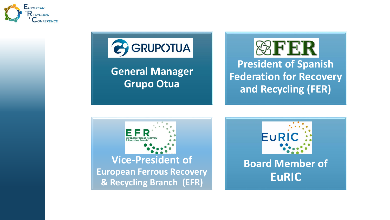



**General Manager Grupo Otua**





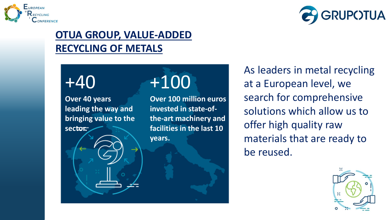



#### **OTUA GROUP, VALUE-ADDED RECYCLING OF METALS**

### +40

**Over 40 years leading the way and bringing value to the sector.**

### +100

**Over 100 million euros invested in state-ofthe-art machinery and facilities in the last 10 years.**

As leaders in metal recycling at a European level, we search for comprehensive solutions which allow us to offer high quality raw materials that are ready to be reused.

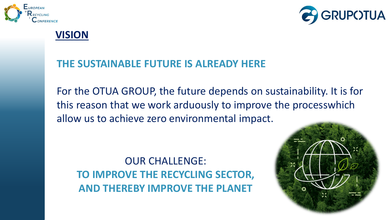



#### **VISION**

#### **THE SUSTAINABLE FUTURE IS ALREADY HERE**

For the OTUA GROUP, the future depends on sustainability. It is for this reason that we work arduously to improve the processwhich allow us to achieve zero environmental impact.

OUR CHALLENGE: **TO IMPROVE THE RECYCLING SECTOR, AND THEREBY IMPROVE THE PLANET**

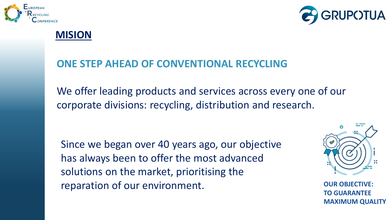



#### **MISION**

#### **ONE STEP AHEAD OF CONVENTIONAL RECYCLING**

We offer leading products and services across every one of our corporate divisions: recycling, distribution and research.

Since we began over 40 years ago, our objective has always been to offer the most advanced solutions on the market, prioritising the reparation of our environment.



**OUR OBJECT TO GUARANTEE MAXIMUM QUALITY**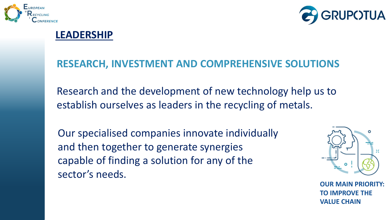



#### **LEADERSHIP**

#### **RESEARCH, INVESTMENT AND COMPREHENSIVE SOLUTIONS**

Research and the development of new technology help us to establish ourselves as leaders in the recycling of metals.

Our specialised companies innovate individually and then together to generate synergies capable of finding a solution for any of the sector's needs.



**OUR MAIN PRIORITY: TO IMPROVE THE VALUE CHAIN**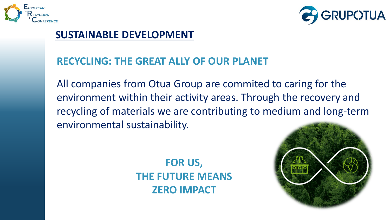



#### **SUSTAINABLE DEVELOPMENT**

#### **RECYCLING: THE GREAT ALLY OF OUR PLANET**

All companies from Otua Group are commited to caring for the environment within their activity areas. Through the recovery and recycling of materials we are contributing to medium and long-term environmental sustainability.

> **FOR US, THE FUTURE MEANS ZERO IMPACT**

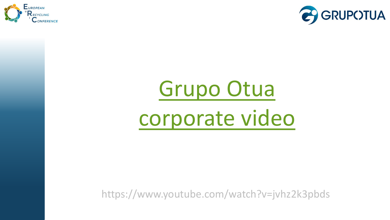



# Grupo Otua [corporate video](https://www.youtube.com/watch?v=jvhz2k3pbds)

https://www.youtube.com/watch?v=jvhz2k3pbds